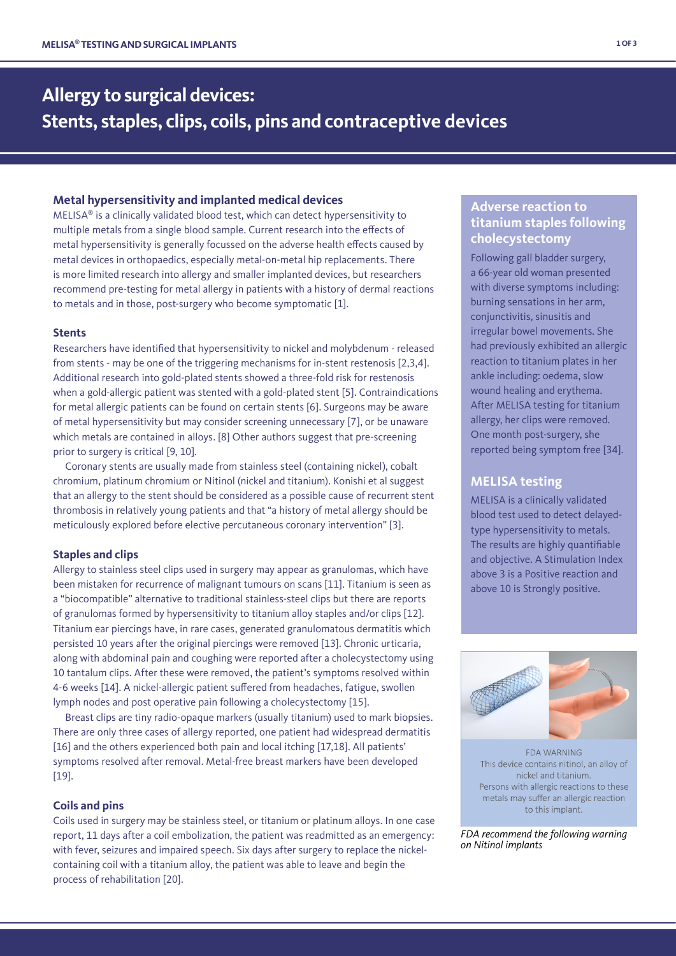# **Allergy to surgical devices: Stents, staples, clips, coils, pins and contraceptive devices**

## **Metal hypersensitivity and implanted medical devices**

MELISA® is a clinically validated blood test, which can detect hypersensitivity to multiple metals from a single blood sample. Current research into the effects of metal hypersensitivity is generally focussed on the adverse health effects caused by metal devices in orthopaedics, especially metal-on-metal hip replacements. There is more limited research into allergy and smaller implanted devices, but researchers recommend pre-testing for metal allergy in patients with a history of dermal reactions to metals and in those, post-surgery who become symptomatic [1].

## **Stents**

Researchers have identified that hypersensitivity to nickel and molybdenum - released from stents - may be one of the triggering mechanisms for in-stent restenosis [2,3,4]. Additional research into gold-plated stents showed a three-fold risk for restenosis when a gold-allergic patient was stented with a gold-plated stent [5]. Contraindications for metal allergic patients can be found on certain stents [6]. Surgeons may be aware of metal hypersensitivity but may consider screening unnecessary [7], or be unaware which metals are contained in alloys. [8] Other authors suggest that pre-screening prior to surgery is critical [9, 10].

 Coronary stents are usually made from stainless steel (containing nickel), cobalt chromium, platinum chromium or Nitinol (nickel and titanium). Konishi et al suggest that an allergy to the stent should be considered as a possible cause of recurrent stent thrombosis in relatively young patients and that "a history of metal allergy should be meticulously explored before elective percutaneous coronary intervention" [3].

## **Staples and clips**

Allergy to stainless steel clips used in surgery may appear as granulomas, which have been mistaken for recurrence of malignant tumours on scans [11]. Titanium is seen as a "biocompatible" alternative to traditional stainless-steel clips but there are reports of granulomas formed by hypersensitivity to titanium alloy staples and/or clips [12]. Titanium ear piercings have, in rare cases, generated granulomatous dermatitis which persisted 10 years after the original piercings were removed [13]. Chronic urticaria, along with abdominal pain and coughing were reported after a cholecystectomy using 10 tantalum clips. After these were removed, the patient's symptoms resolved within 4-6 weeks [14]. A nickel-allergic patient suffered from headaches, fatigue, swollen lymph nodes and post operative pain following a cholecystectomy [15].

 Breast clips are tiny radio-opaque markers (usually titanium) used to mark biopsies. There are only three cases of allergy reported, one patient had widespread dermatitis [16] and the others experienced both pain and local itching [17,18]. All patients' symptoms resolved after removal. Metal-free breast markers have been developed [19].

#### **Coils and pins**

Coils used in surgery may be stainless steel, or titanium or platinum alloys. In one case report, 11 days after a coil embolization, the patient was readmitted as an emergency: with fever, seizures and impaired speech. Six days after surgery to replace the nickelcontaining coil with a titanium alloy, the patient was able to leave and begin the process of rehabilitation [20].

## **Adverse reaction to titanium staples following cholecystectomy**

Following gall bladder surgery, a 66-year old woman presented with diverse symptoms including: burning sensations in her arm, conjunctivitis, sinusitis and irregular bowel movements. She had previously exhibited an allergic reaction to titanium plates in her ankle including: oedema, slow wound healing and erythema. After MELISA testing for titanium allergy, her clips were removed. One month post-surgery, she reported being symptom free [34].

## **MELISA testing**

MELISA is a clinically validated blood test used to detect delayedtype hypersensitivity to metals. The results are highly quantifiable and objective. A Stimulation Index above 3 is a Positive reaction and above 10 is Strongly positive.



**FDA WARNING** This device contains nitinol, an alloy of nickel and titanium. Persons with allergic reactions to these metals may suffer an allergic reaction to this implant.

*FDA recommend the following warning on Nitinol implants*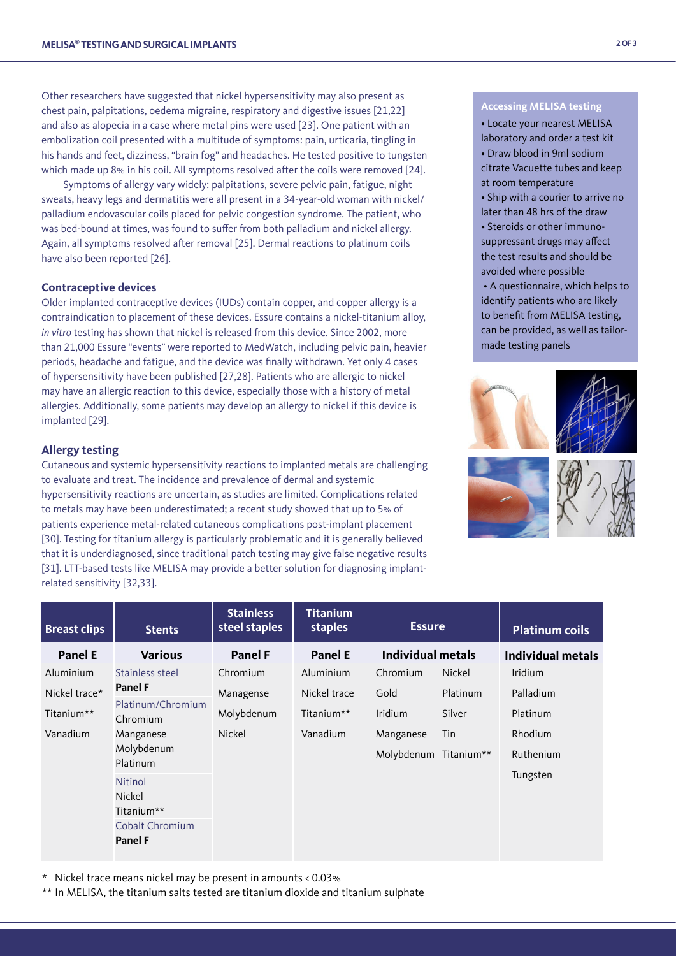Other researchers have suggested that nickel hypersensitivity may also present as chest pain, palpitations, oedema migraine, respiratory and digestive issues [21,22] and also as alopecia in a case where metal pins were used [23]. One patient with an embolization coil presented with a multitude of symptoms: pain, urticaria, tingling in his hands and feet, dizziness, "brain fog" and headaches. He tested positive to tungsten which made up 8% in his coil. All symptoms resolved after the coils were removed [24].

 Symptoms of allergy vary widely: palpitations, severe pelvic pain, fatigue, night sweats, heavy legs and dermatitis were all present in a 34-year-old woman with nickel/ palladium endovascular coils placed for pelvic congestion syndrome. The patient, who was bed-bound at times, was found to suffer from both palladium and nickel allergy. Again, all symptoms resolved after removal [25]. Dermal reactions to platinum coils have also been reported [26].

### **Contraceptive devices**

Older implanted contraceptive devices (IUDs) contain copper, and copper allergy is a contraindication to placement of these devices. Essure contains a nickel-titanium alloy, *in vitro* testing has shown that nickel is released from this device. Since 2002, more than 21,000 Essure "events" were reported to MedWatch, including pelvic pain, heavier periods, headache and fatigue, and the device was finally withdrawn. Yet only 4 cases of hypersensitivity have been published [27,28]. Patients who are allergic to nickel may have an allergic reaction to this device, especially those with a history of metal allergies. Additionally, some patients may develop an allergy to nickel if this device is implanted [29].

## **Allergy testing**

Cutaneous and systemic hypersensitivity reactions to implanted metals are challenging to evaluate and treat. The incidence and prevalence of dermal and systemic hypersensitivity reactions are uncertain, as studies are limited. Complications related to metals may have been underestimated; a recent study showed that up to 5% of patients experience metal-related cutaneous complications post-implant placement [30]. Testing for titanium allergy is particularly problematic and it is generally believed that it is underdiagnosed, since traditional patch testing may give false negative results [31]. LTT-based tests like MELISA may provide a better solution for diagnosing implantrelated sensitivity [32,33].

## **Accessing MELISA testing**

- Locate your nearest MELISA
- laboratory and order a test kit
- Draw blood in 9ml sodium citrate Vacuette tubes and keep at room temperature
- Ship with a courier to arrive no later than 48 hrs of the draw
- Steroids or other immunosuppressant drugs may affect the test results and should be avoided where possible
- A questionnaire, which helps to identify patients who are likely to benefit from MELISA testing, can be provided, as well as tailormade testing panels





| <b>Breast clips</b> | <b>Stents</b>                       | <b>Stainless</b><br>steel staples | <b>Titanium</b><br>staples | <b>Essure</b>            |            | <b>Platinum coils</b> |
|---------------------|-------------------------------------|-----------------------------------|----------------------------|--------------------------|------------|-----------------------|
| <b>Panel E</b>      | <b>Various</b>                      | <b>Panel F</b>                    | <b>Panel E</b>             | <b>Individual metals</b> |            | Individual metals     |
| Aluminium           | Stainless steel                     | Chromium                          | Aluminium                  | Chromium                 | Nickel     | <b>Iridium</b>        |
| Nickel trace*       | <b>Panel F</b><br>Platinum/Chromium | Managense                         | Nickel trace               | Gold                     | Platinum   | Palladium             |
| Titanium**          | Chromium                            | Molybdenum                        | Titanium**                 | Iridium                  | Silver     | Platinum              |
| Vanadium            | Manganese                           | Nickel                            | Vanadium                   | Manganese                | Tin        | Rhodium               |
|                     | Molybdenum<br>Platinum              |                                   |                            | Molybdenum               | Titanium** | Ruthenium             |
|                     | <b>Nitinol</b><br>Nickel            |                                   |                            |                          |            | Tungsten              |
|                     | Titanium**                          |                                   |                            |                          |            |                       |
|                     | <b>Cobalt Chromium</b>              |                                   |                            |                          |            |                       |
|                     | <b>Panel F</b>                      |                                   |                            |                          |            |                       |

\* Nickel trace means nickel may be present in amounts < 0.03%

\*\* In MELISA, the titanium salts tested are titanium dioxide and titanium sulphate